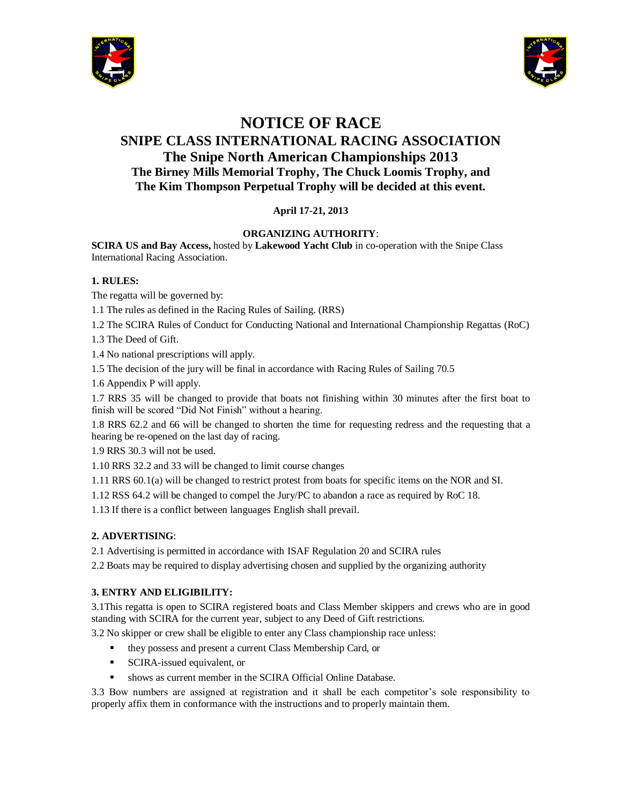



# **NOTICE OF RACE SNIPE CLASS INTERNATIONAL RACING ASSOCIATION The Snipe North American Championships 2013 The Birney Mills Memorial Trophy, The Chuck Loomis Trophy, and The Kim Thompson Perpetual Trophy will be decided at this event.**

# **April 17-21, 2013**

# **ORGANIZING AUTHORITY**:

**SCIRA US and Bay Access,** hosted by **Lakewood Yacht Club** in co-operation with the Snipe Class International Racing Association.

## **1. RULES:**

The regatta will be governed by:

1.1 The rules as defined in the Racing Rules of Sailing. (RRS)

1.2 The SCIRA Rules of Conduct for Conducting National and International Championship Regattas (RoC)

1.3 The Deed of Gift.

1.4 No national prescriptions will apply.

1.5 The decision of the jury will be final in accordance with Racing Rules of Sailing 70.5

1.6 Appendix P will apply.

1.7 RRS 35 will be changed to provide that boats not finishing within 30 minutes after the first boat to finish will be scored "Did Not Finish" without a hearing.

1.8 RRS 62.2 and 66 will be changed to shorten the time for requesting redress and the requesting that a hearing be re-opened on the last day of racing.

1.9 RRS 30.3 will not be used.

1.10 RRS 32.2 and 33 will be changed to limit course changes

1.11 RRS 60.1(a) will be changed to restrict protest from boats for specific items on the NOR and SI.

1.12 RSS 64.2 will be changed to compel the Jury/PC to abandon a race as required by RoC 18.

1.13 If there is a conflict between languages English shall prevail.

# **2. ADVERTISING**:

2.1 Advertising is permitted in accordance with ISAF Regulation 20 and SCIRA rules

2.2 Boats may be required to display advertising chosen and supplied by the organizing authority

# **3. ENTRY AND ELIGIBILITY:**

3.1This regatta is open to SCIRA registered boats and Class Member skippers and crews who are in good standing with SCIRA for the current year, subject to any Deed of Gift restrictions.

3.2 No skipper or crew shall be eligible to enter any Class championship race unless:

- they possess and present a current Class Membership Card, or
- **SCIRA-issued equivalent, or**
- shows as current member in the SCIRA Official Online Database.

3.3 Bow numbers are assigned at registration and it shall be each competitor's sole responsibility to properly affix them in conformance with the instructions and to properly maintain them.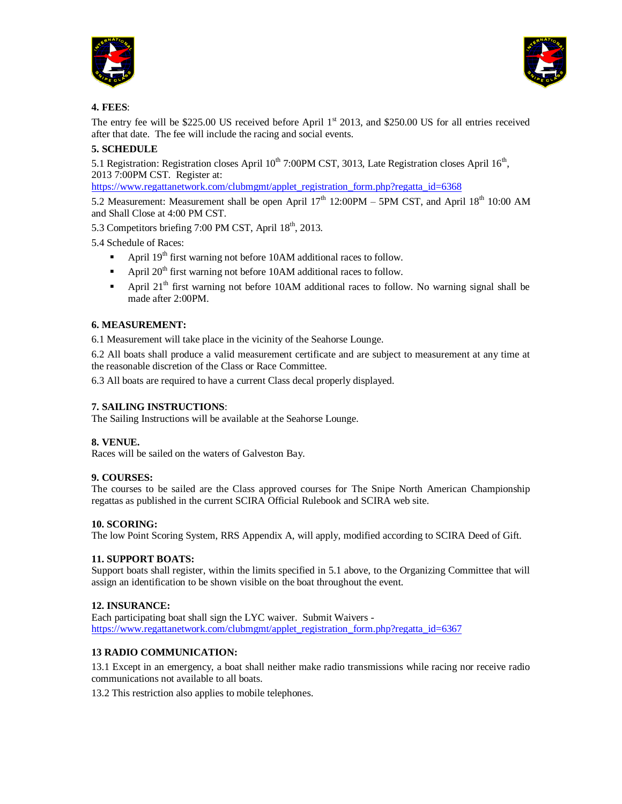



## **4. FEES**:

The entry fee will be \$225.00 US received before April  $1<sup>st</sup>$  2013, and \$250.00 US for all entries received after that date. The fee will include the racing and social events.

# **5. SCHEDULE**

5.1 Registration: Registration closes April  $10^{th}$  7:00PM CST, 3013, Late Registration closes April  $16^{th}$ , 2013 7:00PM CST. Register at:

[https://www.regattanetwork.com/clubmgmt/applet\\_registration\\_form.php?regatta\\_id=6368](https://www.regattanetwork.com/clubmgmt/applet_registration_form.php?regatta_id=6368)

5.2 Measurement: Measurement shall be open April  $17<sup>th</sup> 12:00PM - 5PM CST$ , and April  $18<sup>th</sup> 10:00 AM$ and Shall Close at 4:00 PM CST.

5.3 Competitors briefing 7:00 PM CST, April 18<sup>th</sup>, 2013.

5.4 Schedule of Races:

- April 19<sup>th</sup> first warning not before 10AM additional races to follow.
- April  $20<sup>th</sup>$  first warning not before 10AM additional races to follow.
- April 21<sup>th</sup> first warning not before 10AM additional races to follow. No warning signal shall be made after 2:00PM.

## **6. MEASUREMENT:**

6.1 Measurement will take place in the vicinity of the Seahorse Lounge.

6.2 All boats shall produce a valid measurement certificate and are subject to measurement at any time at the reasonable discretion of the Class or Race Committee.

6.3 All boats are required to have a current Class decal properly displayed.

## **7. SAILING INSTRUCTIONS**:

The Sailing Instructions will be available at the Seahorse Lounge.

## **8. VENUE.**

Races will be sailed on the waters of Galveston Bay.

## **9. COURSES:**

The courses to be sailed are the Class approved courses for The Snipe North American Championship regattas as published in the current SCIRA Official Rulebook and SCIRA web site.

## **10. SCORING:**

The low Point Scoring System, RRS Appendix A, will apply, modified according to SCIRA Deed of Gift.

## **11. SUPPORT BOATS:**

Support boats shall register, within the limits specified in 5.1 above, to the Organizing Committee that will assign an identification to be shown visible on the boat throughout the event.

## **12. INSURANCE:**

Each participating boat shall sign the LYC waiver. Submit Waivers [https://www.regattanetwork.com/clubmgmt/applet\\_registration\\_form.php?regatta\\_id=6367](https://www.regattanetwork.com/clubmgmt/applet_registration_form.php?regatta_id=6367)

## **13 RADIO COMMUNICATION:**

13.1 Except in an emergency, a boat shall neither make radio transmissions while racing nor receive radio communications not available to all boats.

13.2 This restriction also applies to mobile telephones.